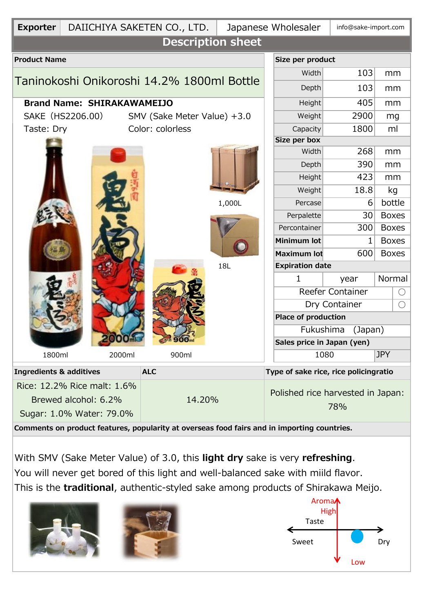| <b>Exporter</b>                                                                             |                                   | DAIICHIYA SAKETEN CO., LTD. | Japanese Wholesaler |                                          |                            |      | info@sake-import.com         |            |  |  |  |  |
|---------------------------------------------------------------------------------------------|-----------------------------------|-----------------------------|---------------------|------------------------------------------|----------------------------|------|------------------------------|------------|--|--|--|--|
| <b>Description sheet</b>                                                                    |                                   |                             |                     |                                          |                            |      |                              |            |  |  |  |  |
| <b>Product Name</b>                                                                         |                                   | Size per product            |                     |                                          |                            |      |                              |            |  |  |  |  |
|                                                                                             |                                   |                             | Width               | 103                                      | mm                         |      |                              |            |  |  |  |  |
| Taninokoshi Onikoroshi 14.2% 1800ml Bottle                                                  |                                   |                             |                     |                                          | Depth                      | 103  | mm                           |            |  |  |  |  |
|                                                                                             | <b>Brand Name: SHIRAKAWAMEIJO</b> |                             | Height              | 405                                      | mm                         |      |                              |            |  |  |  |  |
|                                                                                             | SAKE (HS2206.00)                  | SMV (Sake Meter Value) +3.0 |                     | Weight                                   | 2900                       | mg   |                              |            |  |  |  |  |
| Taste: Dry                                                                                  |                                   | Color: colorless            |                     | Capacity                                 | 1800                       | ml   |                              |            |  |  |  |  |
|                                                                                             |                                   |                             |                     | Size per box                             |                            |      |                              |            |  |  |  |  |
|                                                                                             |                                   |                             |                     | Width                                    | 268                        | mm   |                              |            |  |  |  |  |
|                                                                                             |                                   |                             |                     | Depth                                    | 390                        | mm   |                              |            |  |  |  |  |
|                                                                                             |                                   |                             | 1,000L              |                                          | Height                     | 423  | mm                           |            |  |  |  |  |
|                                                                                             |                                   |                             |                     |                                          | Weight                     | 18.8 | kg                           |            |  |  |  |  |
|                                                                                             |                                   |                             |                     |                                          | Percase                    | 6    | bottle                       |            |  |  |  |  |
|                                                                                             |                                   |                             |                     |                                          | Perpalette                 | 30   | <b>Boxes</b>                 |            |  |  |  |  |
|                                                                                             |                                   |                             |                     |                                          | Percontainer               | 300  | <b>Boxes</b>                 |            |  |  |  |  |
|                                                                                             |                                   |                             |                     |                                          | <b>Minimum lot</b>         | 1    | <b>Boxes</b><br><b>Boxes</b> |            |  |  |  |  |
|                                                                                             |                                   |                             |                     |                                          | <b>Maximum lot</b>         | 600  |                              |            |  |  |  |  |
|                                                                                             |                                   |                             | 18L                 | <b>Expiration date</b>                   |                            |      |                              |            |  |  |  |  |
|                                                                                             |                                   |                             |                     |                                          | 1                          | year | Normal                       |            |  |  |  |  |
|                                                                                             |                                   |                             |                     |                                          | Reefer Container           |      |                              | $\bigcirc$ |  |  |  |  |
|                                                                                             |                                   |                             |                     | Dry Container                            |                            |      | $\bigcirc$                   |            |  |  |  |  |
|                                                                                             |                                   |                             |                     |                                          | <b>Place of production</b> |      |                              |            |  |  |  |  |
|                                                                                             |                                   |                             |                     | Fukushima<br>(Japan)                     |                            |      |                              |            |  |  |  |  |
|                                                                                             |                                   |                             |                     |                                          | Sales price in Japan (yen) |      |                              |            |  |  |  |  |
| 1800ml                                                                                      | 2000ml                            | 900ml                       |                     |                                          | 1080                       |      | <b>JPY</b>                   |            |  |  |  |  |
| <b>Ingredients &amp; additives</b>                                                          |                                   | <b>ALC</b>                  |                     | Type of sake rice, rice policingratio    |                            |      |                              |            |  |  |  |  |
|                                                                                             | Rice: 12.2% Rice malt: 1.6%       | 14.20%                      |                     | Polished rice harvested in Japan:<br>78% |                            |      |                              |            |  |  |  |  |
|                                                                                             | Brewed alcohol: 6.2%              |                             |                     |                                          |                            |      |                              |            |  |  |  |  |
|                                                                                             | Sugar: 1.0% Water: 79.0%          |                             |                     |                                          |                            |      |                              |            |  |  |  |  |
| Comments on product features, popularity at overseas food fairs and in importing countries. |                                   |                             |                     |                                          |                            |      |                              |            |  |  |  |  |
|                                                                                             |                                   |                             |                     |                                          |                            |      |                              |            |  |  |  |  |

With SMV (Sake Meter Value) of 3.0, this **light dry** sake is very **refreshing**. You will never get bored of this light and well-balanced sake with miild flavor. This is the **traditional**, authentic-styled sake among products of Shirakawa Meijo.